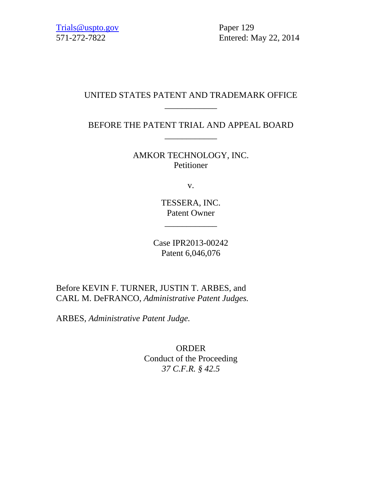571-272-7822 Entered: May 22, 2014

# UNITED STATES PATENT AND TRADEMARK OFFICE \_\_\_\_\_\_\_\_\_\_\_\_

BEFORE THE PATENT TRIAL AND APPEAL BOARD \_\_\_\_\_\_\_\_\_\_\_\_

> AMKOR TECHNOLOGY, INC. Petitioner

> > v.

TESSERA, INC. Patent Owner

\_\_\_\_\_\_\_\_\_\_\_\_

Case IPR2013-00242 Patent 6,046,076

Before KEVIN F. TURNER, JUSTIN T. ARBES, and CARL M. DeFRANCO, *Administrative Patent Judges.* 

ARBES, *Administrative Patent Judge.* 

ORDER Conduct of the Proceeding *37 C.F.R. § 42.5*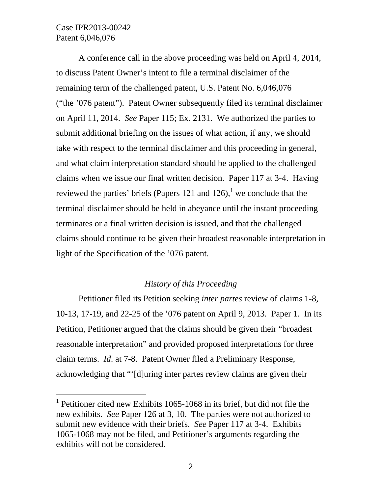l

A conference call in the above proceeding was held on April 4, 2014, to discuss Patent Owner's intent to file a terminal disclaimer of the remaining term of the challenged patent, U.S. Patent No. 6,046,076 ("the '076 patent"). Patent Owner subsequently filed its terminal disclaimer on April 11, 2014. *See* Paper 115; Ex. 2131. We authorized the parties to submit additional briefing on the issues of what action, if any, we should take with respect to the terminal disclaimer and this proceeding in general, and what claim interpretation standard should be applied to the challenged claims when we issue our final written decision. Paper 117 at 3-4. Having reviewed the parties' briefs (Papers 121 and 126),<sup>1</sup> we conclude that the terminal disclaimer should be held in abeyance until the instant proceeding terminates or a final written decision is issued, and that the challenged claims should continue to be given their broadest reasonable interpretation in light of the Specification of the '076 patent.

#### *History of this Proceeding*

Petitioner filed its Petition seeking *inter partes* review of claims 1-8, 10-13, 17-19, and 22-25 of the '076 patent on April 9, 2013. Paper 1. In its Petition, Petitioner argued that the claims should be given their "broadest reasonable interpretation" and provided proposed interpretations for three claim terms. *Id*. at 7-8. Patent Owner filed a Preliminary Response, acknowledging that "'[d]uring inter partes review claims are given their

<sup>&</sup>lt;sup>1</sup> Petitioner cited new Exhibits 1065-1068 in its brief, but did not file the new exhibits. *See* Paper 126 at 3, 10. The parties were not authorized to submit new evidence with their briefs. *See* Paper 117 at 3-4. Exhibits 1065-1068 may not be filed, and Petitioner's arguments regarding the exhibits will not be considered.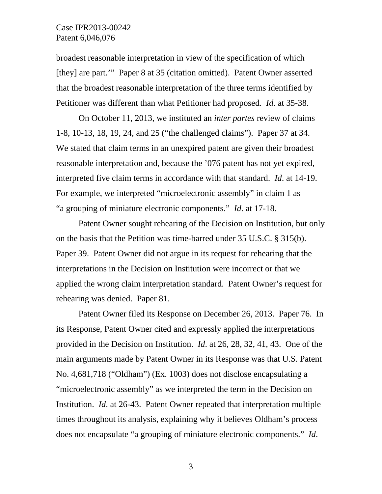broadest reasonable interpretation in view of the specification of which [they] are part.'" Paper 8 at 35 (citation omitted). Patent Owner asserted that the broadest reasonable interpretation of the three terms identified by Petitioner was different than what Petitioner had proposed. *Id*. at 35-38.

On October 11, 2013, we instituted an *inter partes* review of claims 1-8, 10-13, 18, 19, 24, and 25 ("the challenged claims"). Paper 37 at 34. We stated that claim terms in an unexpired patent are given their broadest reasonable interpretation and, because the '076 patent has not yet expired, interpreted five claim terms in accordance with that standard. *Id*. at 14-19. For example, we interpreted "microelectronic assembly" in claim 1 as "a grouping of miniature electronic components." *Id*. at 17-18.

Patent Owner sought rehearing of the Decision on Institution, but only on the basis that the Petition was time-barred under 35 U.S.C. § 315(b). Paper 39. Patent Owner did not argue in its request for rehearing that the interpretations in the Decision on Institution were incorrect or that we applied the wrong claim interpretation standard. Patent Owner's request for rehearing was denied. Paper 81.

Patent Owner filed its Response on December 26, 2013. Paper 76. In its Response, Patent Owner cited and expressly applied the interpretations provided in the Decision on Institution. *Id*. at 26, 28, 32, 41, 43. One of the main arguments made by Patent Owner in its Response was that U.S. Patent No. 4,681,718 ("Oldham") (Ex. 1003) does not disclose encapsulating a "microelectronic assembly" as we interpreted the term in the Decision on Institution. *Id*. at 26-43. Patent Owner repeated that interpretation multiple times throughout its analysis, explaining why it believes Oldham's process does not encapsulate "a grouping of miniature electronic components." *Id*.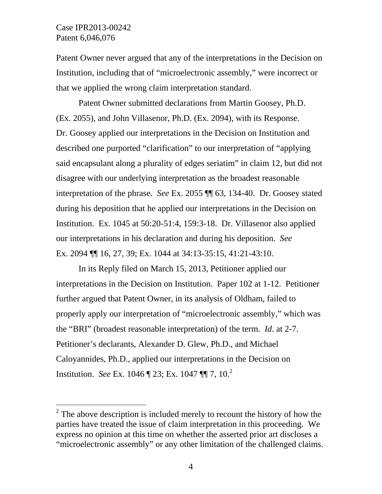$\overline{a}$ 

Patent Owner never argued that any of the interpretations in the Decision on Institution, including that of "microelectronic assembly," were incorrect or that we applied the wrong claim interpretation standard.

Patent Owner submitted declarations from Martin Goosey, Ph.D. (Ex. 2055), and John Villasenor, Ph.D. (Ex. 2094), with its Response. Dr. Goosey applied our interpretations in the Decision on Institution and described one purported "clarification" to our interpretation of "applying said encapsulant along a plurality of edges seriatim" in claim 12, but did not disagree with our underlying interpretation as the broadest reasonable interpretation of the phrase. *See* Ex. 2055 ¶¶ 63, 134-40. Dr. Goosey stated during his deposition that he applied our interpretations in the Decision on Institution. Ex. 1045 at 50:20-51:4, 159:3-18. Dr. Villasenor also applied our interpretations in his declaration and during his deposition. *See* Ex. 2094 ¶¶ 16, 27, 39; Ex. 1044 at 34:13-35:15, 41:21-43:10.

In its Reply filed on March 15, 2013, Petitioner applied our interpretations in the Decision on Institution. Paper 102 at 1-12. Petitioner further argued that Patent Owner, in its analysis of Oldham, failed to properly apply our interpretation of "microelectronic assembly," which was the "BRI" (broadest reasonable interpretation) of the term. *Id*. at 2-7. Petitioner's declarants, Alexander D. Glew, Ph.D., and Michael Caloyannides, Ph.D., applied our interpretations in the Decision on Institution. *See* Ex. 1046 ¶ 23; Ex. 1047 ¶¶ 7, 10.<sup>2</sup>

 $2^2$  The above description is included merely to recount the history of how the parties have treated the issue of claim interpretation in this proceeding. We express no opinion at this time on whether the asserted prior art discloses a "microelectronic assembly" or any other limitation of the challenged claims.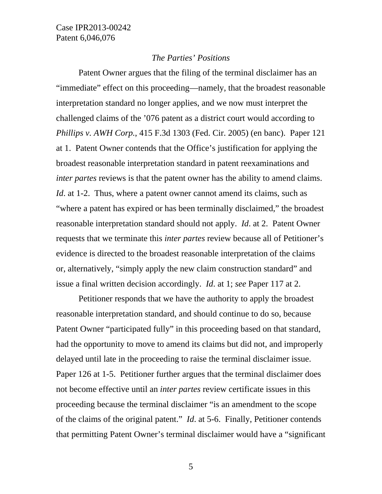#### *The Parties' Positions*

Patent Owner argues that the filing of the terminal disclaimer has an "immediate" effect on this proceeding—namely, that the broadest reasonable interpretation standard no longer applies, and we now must interpret the challenged claims of the '076 patent as a district court would according to *Phillips v. AWH Corp.*, 415 F.3d 1303 (Fed. Cir. 2005) (en banc). Paper 121 at 1. Patent Owner contends that the Office's justification for applying the broadest reasonable interpretation standard in patent reexaminations and *inter partes* reviews is that the patent owner has the ability to amend claims. *Id.* at 1-2. Thus, where a patent owner cannot amend its claims, such as "where a patent has expired or has been terminally disclaimed," the broadest reasonable interpretation standard should not apply. *Id*. at 2. Patent Owner requests that we terminate this *inter partes* review because all of Petitioner's evidence is directed to the broadest reasonable interpretation of the claims or, alternatively, "simply apply the new claim construction standard" and issue a final written decision accordingly. *Id*. at 1; *see* Paper 117 at 2.

Petitioner responds that we have the authority to apply the broadest reasonable interpretation standard, and should continue to do so, because Patent Owner "participated fully" in this proceeding based on that standard, had the opportunity to move to amend its claims but did not, and improperly delayed until late in the proceeding to raise the terminal disclaimer issue. Paper 126 at 1-5. Petitioner further argues that the terminal disclaimer does not become effective until an *inter partes* review certificate issues in this proceeding because the terminal disclaimer "is an amendment to the scope of the claims of the original patent." *Id*. at 5-6. Finally, Petitioner contends that permitting Patent Owner's terminal disclaimer would have a "significant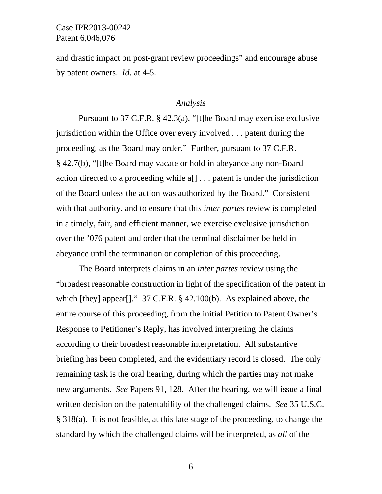and drastic impact on post-grant review proceedings" and encourage abuse by patent owners. *Id*. at 4-5.

#### *Analysis*

Pursuant to 37 C.F.R. § 42.3(a), "[t]he Board may exercise exclusive jurisdiction within the Office over every involved . . . patent during the proceeding, as the Board may order." Further, pursuant to 37 C.F.R. § 42.7(b), "[t]he Board may vacate or hold in abeyance any non-Board action directed to a proceeding while a[] . . . patent is under the jurisdiction of the Board unless the action was authorized by the Board." Consistent with that authority, and to ensure that this *inter partes* review is completed in a timely, fair, and efficient manner, we exercise exclusive jurisdiction over the '076 patent and order that the terminal disclaimer be held in abeyance until the termination or completion of this proceeding.

The Board interprets claims in an *inter partes* review using the "broadest reasonable construction in light of the specification of the patent in which [they] appear[]." 37 C.F.R. § 42.100(b). As explained above, the entire course of this proceeding, from the initial Petition to Patent Owner's Response to Petitioner's Reply, has involved interpreting the claims according to their broadest reasonable interpretation. All substantive briefing has been completed, and the evidentiary record is closed. The only remaining task is the oral hearing, during which the parties may not make new arguments. *See* Papers 91, 128. After the hearing, we will issue a final written decision on the patentability of the challenged claims. *See* 35 U.S.C. § 318(a). It is not feasible, at this late stage of the proceeding, to change the standard by which the challenged claims will be interpreted, as *all* of the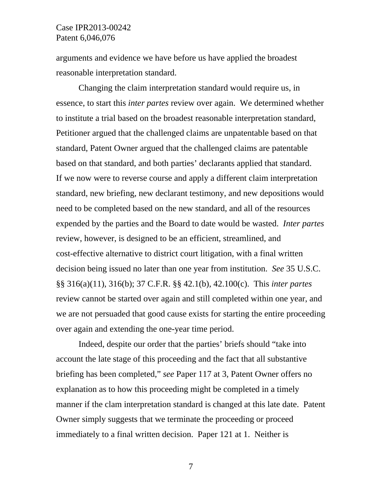arguments and evidence we have before us have applied the broadest reasonable interpretation standard.

Changing the claim interpretation standard would require us, in essence, to start this *inter partes* review over again. We determined whether to institute a trial based on the broadest reasonable interpretation standard, Petitioner argued that the challenged claims are unpatentable based on that standard, Patent Owner argued that the challenged claims are patentable based on that standard, and both parties' declarants applied that standard. If we now were to reverse course and apply a different claim interpretation standard, new briefing, new declarant testimony, and new depositions would need to be completed based on the new standard, and all of the resources expended by the parties and the Board to date would be wasted. *Inter partes* review, however, is designed to be an efficient, streamlined, and cost-effective alternative to district court litigation, with a final written decision being issued no later than one year from institution. *See* 35 U.S.C. §§ 316(a)(11), 316(b); 37 C.F.R. §§ 42.1(b), 42.100(c). This *inter partes* review cannot be started over again and still completed within one year, and we are not persuaded that good cause exists for starting the entire proceeding over again and extending the one-year time period.

Indeed, despite our order that the parties' briefs should "take into account the late stage of this proceeding and the fact that all substantive briefing has been completed," *see* Paper 117 at 3, Patent Owner offers no explanation as to how this proceeding might be completed in a timely manner if the clam interpretation standard is changed at this late date. Patent Owner simply suggests that we terminate the proceeding or proceed immediately to a final written decision. Paper 121 at 1. Neither is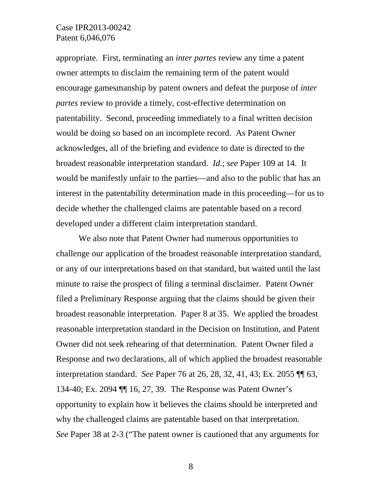appropriate. First, terminating an *inter partes* review any time a patent owner attempts to disclaim the remaining term of the patent would encourage gamesmanship by patent owners and defeat the purpose of *inter partes* review to provide a timely, cost-effective determination on patentability. Second, proceeding immediately to a final written decision would be doing so based on an incomplete record. As Patent Owner acknowledges, all of the briefing and evidence to date is directed to the broadest reasonable interpretation standard. *Id*.; *see* Paper 109 at 14. It would be manifestly unfair to the parties—and also to the public that has an interest in the patentability determination made in this proceeding—for us to decide whether the challenged claims are patentable based on a record developed under a different claim interpretation standard.

We also note that Patent Owner had numerous opportunities to challenge our application of the broadest reasonable interpretation standard, or any of our interpretations based on that standard, but waited until the last minute to raise the prospect of filing a terminal disclaimer. Patent Owner filed a Preliminary Response arguing that the claims should be given their broadest reasonable interpretation. Paper 8 at 35. We applied the broadest reasonable interpretation standard in the Decision on Institution, and Patent Owner did not seek rehearing of that determination. Patent Owner filed a Response and two declarations, all of which applied the broadest reasonable interpretation standard. *See* Paper 76 at 26, 28, 32, 41, 43; Ex. 2055 ¶¶ 63, 134-40; Ex. 2094 ¶¶ 16, 27, 39. The Response was Patent Owner's opportunity to explain how it believes the claims should be interpreted and why the challenged claims are patentable based on that interpretation. *See* Paper 38 at 2-3 ("The patent owner is cautioned that any arguments for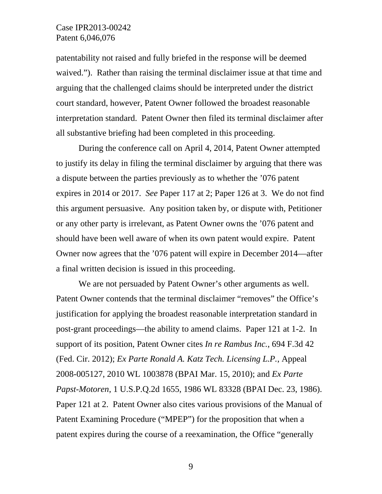patentability not raised and fully briefed in the response will be deemed waived."). Rather than raising the terminal disclaimer issue at that time and arguing that the challenged claims should be interpreted under the district court standard, however, Patent Owner followed the broadest reasonable interpretation standard. Patent Owner then filed its terminal disclaimer after all substantive briefing had been completed in this proceeding.

During the conference call on April 4, 2014, Patent Owner attempted to justify its delay in filing the terminal disclaimer by arguing that there was a dispute between the parties previously as to whether the '076 patent expires in 2014 or 2017. *See* Paper 117 at 2; Paper 126 at 3. We do not find this argument persuasive. Any position taken by, or dispute with, Petitioner or any other party is irrelevant, as Patent Owner owns the '076 patent and should have been well aware of when its own patent would expire. Patent Owner now agrees that the '076 patent will expire in December 2014—after a final written decision is issued in this proceeding.

We are not persuaded by Patent Owner's other arguments as well. Patent Owner contends that the terminal disclaimer "removes" the Office's justification for applying the broadest reasonable interpretation standard in post-grant proceedings—the ability to amend claims. Paper 121 at 1-2. In support of its position, Patent Owner cites *In re Rambus Inc.*, 694 F.3d 42 (Fed. Cir. 2012); *Ex Parte Ronald A. Katz Tech. Licensing L.P.*, Appeal 2008-005127, 2010 WL 1003878 (BPAI Mar. 15, 2010); and *Ex Parte Papst-Motoren*, 1 U.S.P.Q.2d 1655, 1986 WL 83328 (BPAI Dec. 23, 1986). Paper 121 at 2. Patent Owner also cites various provisions of the Manual of Patent Examining Procedure ("MPEP") for the proposition that when a patent expires during the course of a reexamination, the Office "generally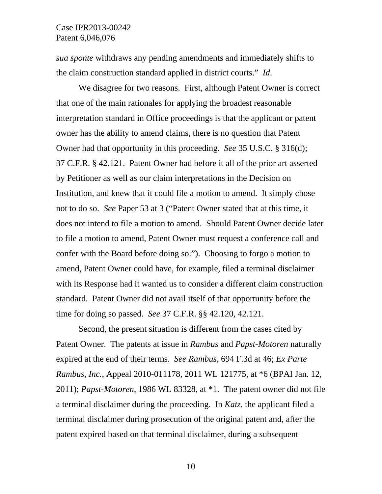*sua sponte* withdraws any pending amendments and immediately shifts to the claim construction standard applied in district courts." *Id*.

We disagree for two reasons. First, although Patent Owner is correct that one of the main rationales for applying the broadest reasonable interpretation standard in Office proceedings is that the applicant or patent owner has the ability to amend claims, there is no question that Patent Owner had that opportunity in this proceeding. *See* 35 U.S.C. § 316(d); 37 C.F.R. § 42.121. Patent Owner had before it all of the prior art asserted by Petitioner as well as our claim interpretations in the Decision on Institution, and knew that it could file a motion to amend. It simply chose not to do so. *See* Paper 53 at 3 ("Patent Owner stated that at this time, it does not intend to file a motion to amend. Should Patent Owner decide later to file a motion to amend, Patent Owner must request a conference call and confer with the Board before doing so."). Choosing to forgo a motion to amend, Patent Owner could have, for example, filed a terminal disclaimer with its Response had it wanted us to consider a different claim construction standard. Patent Owner did not avail itself of that opportunity before the time for doing so passed. *See* 37 C.F.R. §§ 42.120, 42.121.

Second, the present situation is different from the cases cited by Patent Owner. The patents at issue in *Rambus* and *Papst-Motoren* naturally expired at the end of their terms. *See Rambus*, 694 F.3d at 46; *Ex Parte Rambus, Inc.*, Appeal 2010-011178, 2011 WL 121775, at \*6 (BPAI Jan. 12, 2011); *Papst-Motoren*, 1986 WL 83328, at \*1. The patent owner did not file a terminal disclaimer during the proceeding. In *Katz*, the applicant filed a terminal disclaimer during prosecution of the original patent and, after the patent expired based on that terminal disclaimer, during a subsequent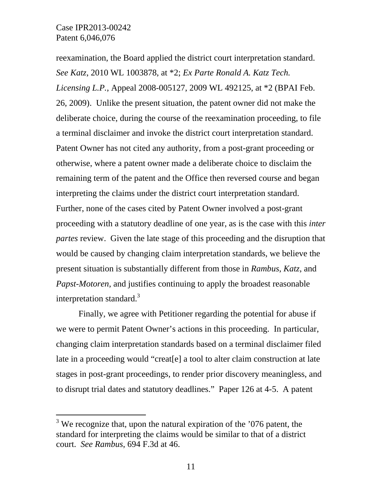-

reexamination, the Board applied the district court interpretation standard. *See Katz*, 2010 WL 1003878, at \*2; *Ex Parte Ronald A. Katz Tech. Licensing L.P.*, Appeal 2008-005127, 2009 WL 492125, at \*2 (BPAI Feb. 26, 2009). Unlike the present situation, the patent owner did not make the deliberate choice, during the course of the reexamination proceeding, to file a terminal disclaimer and invoke the district court interpretation standard. Patent Owner has not cited any authority, from a post-grant proceeding or otherwise, where a patent owner made a deliberate choice to disclaim the remaining term of the patent and the Office then reversed course and began interpreting the claims under the district court interpretation standard. Further, none of the cases cited by Patent Owner involved a post-grant proceeding with a statutory deadline of one year, as is the case with this *inter partes* review. Given the late stage of this proceeding and the disruption that would be caused by changing claim interpretation standards, we believe the present situation is substantially different from those in *Rambus*, *Katz*, and *Papst-Motoren*, and justifies continuing to apply the broadest reasonable interpretation standard.<sup>3</sup>

Finally, we agree with Petitioner regarding the potential for abuse if we were to permit Patent Owner's actions in this proceeding. In particular, changing claim interpretation standards based on a terminal disclaimer filed late in a proceeding would "creat[e] a tool to alter claim construction at late stages in post-grant proceedings, to render prior discovery meaningless, and to disrupt trial dates and statutory deadlines." Paper 126 at 4-5. A patent

<sup>&</sup>lt;sup>3</sup> We recognize that, upon the natural expiration of the  $'076$  patent, the standard for interpreting the claims would be similar to that of a district court. *See Rambus*, 694 F.3d at 46.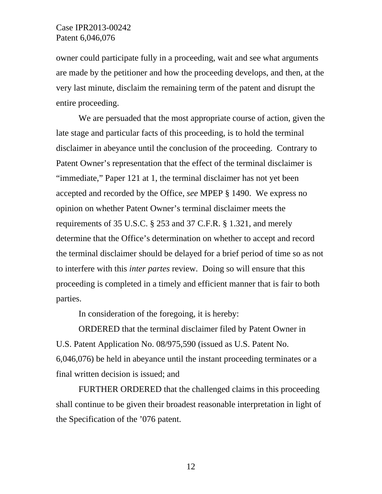owner could participate fully in a proceeding, wait and see what arguments are made by the petitioner and how the proceeding develops, and then, at the very last minute, disclaim the remaining term of the patent and disrupt the entire proceeding.

We are persuaded that the most appropriate course of action, given the late stage and particular facts of this proceeding, is to hold the terminal disclaimer in abeyance until the conclusion of the proceeding. Contrary to Patent Owner's representation that the effect of the terminal disclaimer is "immediate," Paper 121 at 1, the terminal disclaimer has not yet been accepted and recorded by the Office, *see* MPEP § 1490. We express no opinion on whether Patent Owner's terminal disclaimer meets the requirements of 35 U.S.C. § 253 and 37 C.F.R. § 1.321, and merely determine that the Office's determination on whether to accept and record the terminal disclaimer should be delayed for a brief period of time so as not to interfere with this *inter partes* review. Doing so will ensure that this proceeding is completed in a timely and efficient manner that is fair to both parties.

In consideration of the foregoing, it is hereby:

ORDERED that the terminal disclaimer filed by Patent Owner in U.S. Patent Application No. 08/975,590 (issued as U.S. Patent No. 6,046,076) be held in abeyance until the instant proceeding terminates or a final written decision is issued; and

FURTHER ORDERED that the challenged claims in this proceeding shall continue to be given their broadest reasonable interpretation in light of the Specification of the '076 patent.